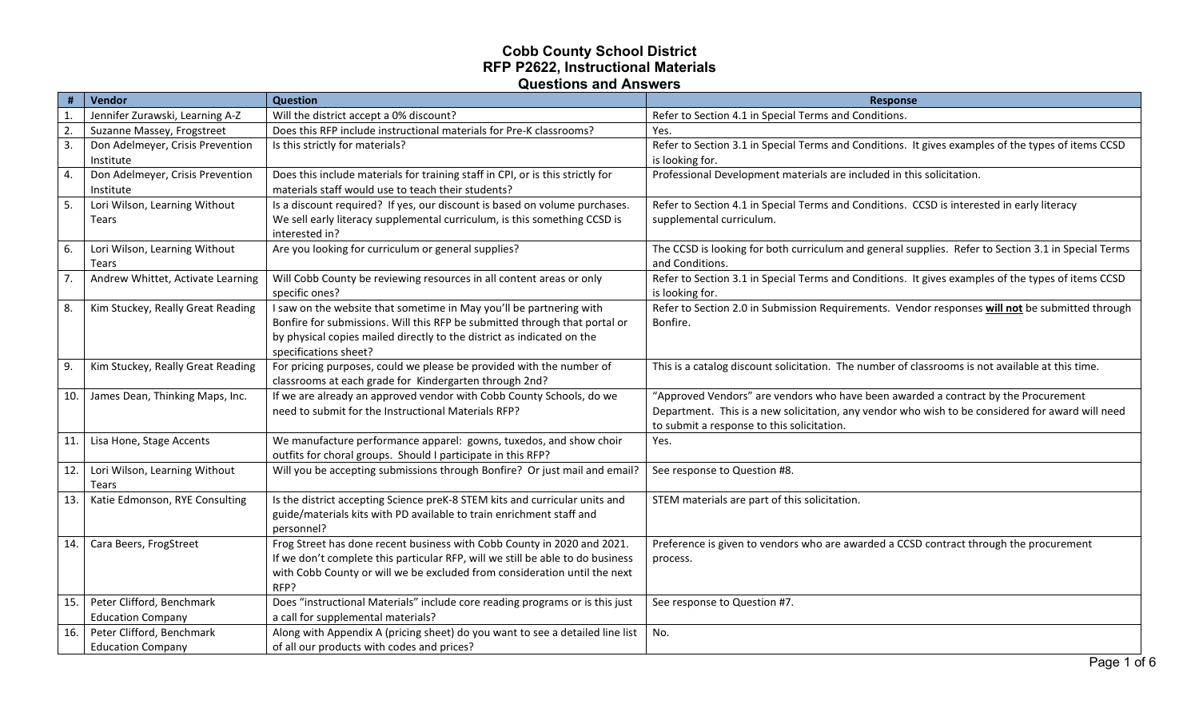| $\#$           | Vendor                                                | <b>Question</b>                                                                                                                                                                                                                                      | <b>Response</b>                                                                                                                                                                                                                      |
|----------------|-------------------------------------------------------|------------------------------------------------------------------------------------------------------------------------------------------------------------------------------------------------------------------------------------------------------|--------------------------------------------------------------------------------------------------------------------------------------------------------------------------------------------------------------------------------------|
| $\mathbf{1}$ . | Jennifer Zurawski, Learning A-Z                       | Will the district accept a 0% discount?                                                                                                                                                                                                              | Refer to Section 4.1 in Special Terms and Conditions.                                                                                                                                                                                |
| 2.             | Suzanne Massey, Frogstreet                            | Does this RFP include instructional materials for Pre-K classrooms?                                                                                                                                                                                  | Yes.                                                                                                                                                                                                                                 |
| 3.             | Don Adelmeyer, Crisis Prevention<br>Institute         | Is this strictly for materials?                                                                                                                                                                                                                      | Refer to Section 3.1 in Special Terms and Conditions. It gives examples of the types of items CCSD<br>is looking for.                                                                                                                |
| 4.             | Don Adelmeyer, Crisis Prevention<br>Institute         | Does this include materials for training staff in CPI, or is this strictly for<br>materials staff would use to teach their students?                                                                                                                 | Professional Development materials are included in this solicitation.                                                                                                                                                                |
| 5.             | Lori Wilson, Learning Without<br>Tears                | Is a discount required? If yes, our discount is based on volume purchases.<br>We sell early literacy supplemental curriculum, is this something CCSD is<br>interested in?                                                                            | Refer to Section 4.1 in Special Terms and Conditions. CCSD is interested in early literacy<br>supplemental curriculum.                                                                                                               |
| 6.             | Lori Wilson, Learning Without<br>Tears                | Are you looking for curriculum or general supplies?                                                                                                                                                                                                  | The CCSD is looking for both curriculum and general supplies. Refer to Section 3.1 in Special Terms<br>and Conditions.                                                                                                               |
| 7.             | Andrew Whittet, Activate Learning                     | Will Cobb County be reviewing resources in all content areas or only<br>specific ones?                                                                                                                                                               | Refer to Section 3.1 in Special Terms and Conditions. It gives examples of the types of items CCSD<br>is looking for.                                                                                                                |
| 8.             | Kim Stuckey, Really Great Reading                     | I saw on the website that sometime in May you'll be partnering with<br>Bonfire for submissions. Will this RFP be submitted through that portal or<br>by physical copies mailed directly to the district as indicated on the<br>specifications sheet? | Refer to Section 2.0 in Submission Requirements. Vendor responses will not be submitted through<br>Bonfire.                                                                                                                          |
| 9.             | Kim Stuckey, Really Great Reading                     | For pricing purposes, could we please be provided with the number of<br>classrooms at each grade for Kindergarten through 2nd?                                                                                                                       | This is a catalog discount solicitation. The number of classrooms is not available at this time.                                                                                                                                     |
| 10.            | James Dean, Thinking Maps, Inc.                       | If we are already an approved vendor with Cobb County Schools, do we<br>need to submit for the Instructional Materials RFP?                                                                                                                          | "Approved Vendors" are vendors who have been awarded a contract by the Procurement<br>Department. This is a new solicitation, any vendor who wish to be considered for award will need<br>to submit a response to this solicitation. |
| 11.            | Lisa Hone, Stage Accents                              | We manufacture performance apparel: gowns, tuxedos, and show choir<br>outfits for choral groups. Should I participate in this RFP?                                                                                                                   | Yes.                                                                                                                                                                                                                                 |
| 12.            | Lori Wilson, Learning Without<br>Tears                | Will you be accepting submissions through Bonfire? Or just mail and email?                                                                                                                                                                           | See response to Question #8.                                                                                                                                                                                                         |
| 13.            | Katie Edmonson, RYE Consulting                        | Is the district accepting Science preK-8 STEM kits and curricular units and<br>guide/materials kits with PD available to train enrichment staff and<br>personnel?                                                                                    | STEM materials are part of this solicitation.                                                                                                                                                                                        |
| 14.            | Cara Beers, FrogStreet                                | Frog Street has done recent business with Cobb County in 2020 and 2021.<br>If we don't complete this particular RFP, will we still be able to do business<br>with Cobb County or will we be excluded from consideration until the next<br>RFP?       | Preference is given to vendors who are awarded a CCSD contract through the procurement<br>process.                                                                                                                                   |
| 15.            | Peter Clifford, Benchmark<br><b>Education Company</b> | Does "instructional Materials" include core reading programs or is this just<br>a call for supplemental materials?                                                                                                                                   | See response to Question #7.                                                                                                                                                                                                         |
| 16.            | Peter Clifford, Benchmark<br><b>Education Company</b> | Along with Appendix A (pricing sheet) do you want to see a detailed line list<br>of all our products with codes and prices?                                                                                                                          | No.                                                                                                                                                                                                                                  |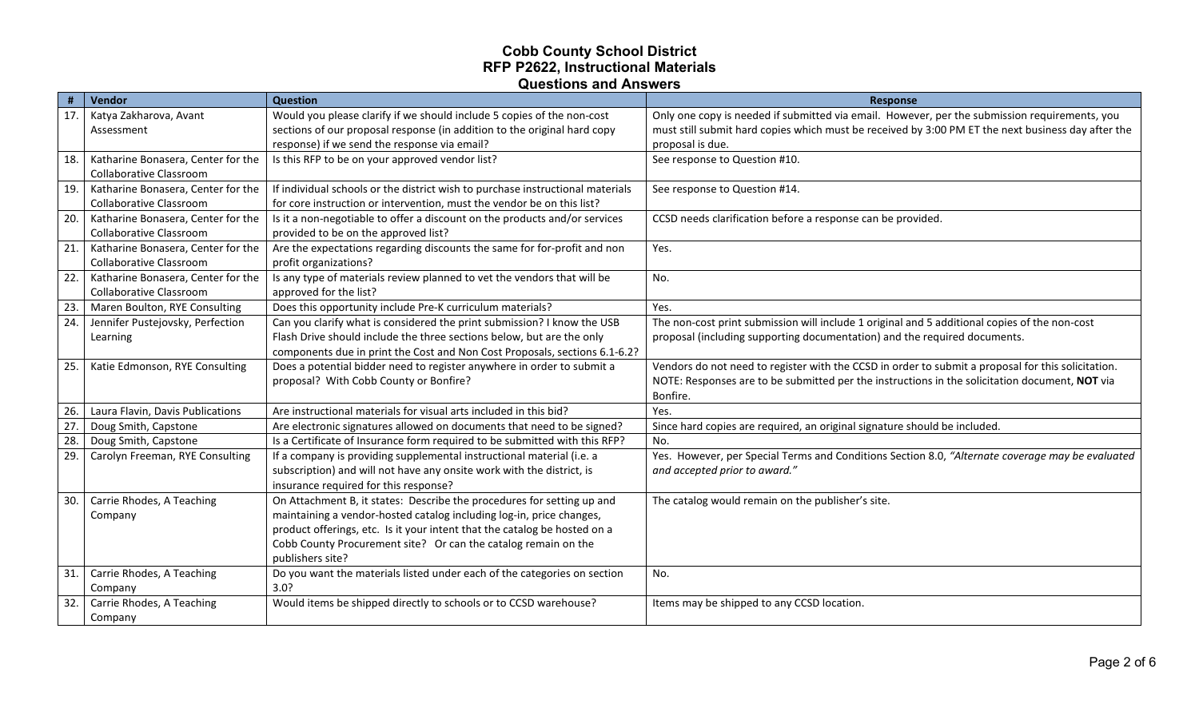|     | Vendor                                   | <b>Question</b>                                                                | <b>Response</b>                                                                                    |
|-----|------------------------------------------|--------------------------------------------------------------------------------|----------------------------------------------------------------------------------------------------|
|     | 17.   Katya Zakharova, Avant             | Would you please clarify if we should include 5 copies of the non-cost         | Only one copy is needed if submitted via email. However, per the submission requirements, you      |
|     | Assessment                               | sections of our proposal response (in addition to the original hard copy       | must still submit hard copies which must be received by 3:00 PM ET the next business day after the |
|     |                                          | response) if we send the response via email?                                   | proposal is due.                                                                                   |
|     | 18.   Katharine Bonasera, Center for the | Is this RFP to be on your approved vendor list?                                | See response to Question #10.                                                                      |
|     | <b>Collaborative Classroom</b>           |                                                                                |                                                                                                    |
| 19. | Katharine Bonasera, Center for the       | If individual schools or the district wish to purchase instructional materials | See response to Question #14.                                                                      |
|     | <b>Collaborative Classroom</b>           | for core instruction or intervention, must the vendor be on this list?         |                                                                                                    |
| 20. | Katharine Bonasera, Center for the       | Is it a non-negotiable to offer a discount on the products and/or services     | CCSD needs clarification before a response can be provided.                                        |
|     | <b>Collaborative Classroom</b>           | provided to be on the approved list?                                           |                                                                                                    |
| 21. | Katharine Bonasera, Center for the       | Are the expectations regarding discounts the same for for-profit and non       | Yes.                                                                                               |
|     | <b>Collaborative Classroom</b>           | profit organizations?                                                          |                                                                                                    |
| 22. | Katharine Bonasera, Center for the       | Is any type of materials review planned to vet the vendors that will be        | No.                                                                                                |
|     | Collaborative Classroom                  | approved for the list?                                                         |                                                                                                    |
| 23. | Maren Boulton, RYE Consulting            | Does this opportunity include Pre-K curriculum materials?                      | Yes.                                                                                               |
| 24. | Jennifer Pustejovsky, Perfection         | Can you clarify what is considered the print submission? I know the USB        | The non-cost print submission will include 1 original and 5 additional copies of the non-cost      |
|     | Learning                                 | Flash Drive should include the three sections below, but are the only          | proposal (including supporting documentation) and the required documents.                          |
|     |                                          | components due in print the Cost and Non Cost Proposals, sections 6.1-6.2?     |                                                                                                    |
|     | 25.   Katie Edmonson, RYE Consulting     | Does a potential bidder need to register anywhere in order to submit a         | Vendors do not need to register with the CCSD in order to submit a proposal for this solicitation. |
|     |                                          | proposal? With Cobb County or Bonfire?                                         | NOTE: Responses are to be submitted per the instructions in the solicitation document, NOT via     |
|     |                                          |                                                                                | Bonfire.                                                                                           |
| 26. | Laura Flavin, Davis Publications         | Are instructional materials for visual arts included in this bid?              | Yes.                                                                                               |
| 27  | Doug Smith, Capstone                     | Are electronic signatures allowed on documents that need to be signed?         | Since hard copies are required, an original signature should be included.                          |
| 28. | Doug Smith, Capstone                     | Is a Certificate of Insurance form required to be submitted with this RFP?     | No.                                                                                                |
| 29. | Carolyn Freeman, RYE Consulting          | If a company is providing supplemental instructional material (i.e. a          | Yes. However, per Special Terms and Conditions Section 8.0, "Alternate coverage may be evaluated   |
|     |                                          | subscription) and will not have any onsite work with the district, is          | and accepted prior to award."                                                                      |
|     |                                          | insurance required for this response?                                          |                                                                                                    |
| 30. | Carrie Rhodes, A Teaching                | On Attachment B, it states: Describe the procedures for setting up and         | The catalog would remain on the publisher's site.                                                  |
|     | Company                                  | maintaining a vendor-hosted catalog including log-in, price changes,           |                                                                                                    |
|     |                                          | product offerings, etc. Is it your intent that the catalog be hosted on a      |                                                                                                    |
|     |                                          | Cobb County Procurement site? Or can the catalog remain on the                 |                                                                                                    |
|     |                                          | publishers site?                                                               |                                                                                                    |
| 31. | Carrie Rhodes, A Teaching                | Do you want the materials listed under each of the categories on section       | No.                                                                                                |
|     | Company                                  | 3.0?                                                                           |                                                                                                    |
| 32. | Carrie Rhodes, A Teaching                | Would items be shipped directly to schools or to CCSD warehouse?               | Items may be shipped to any CCSD location.                                                         |
|     | Company                                  |                                                                                |                                                                                                    |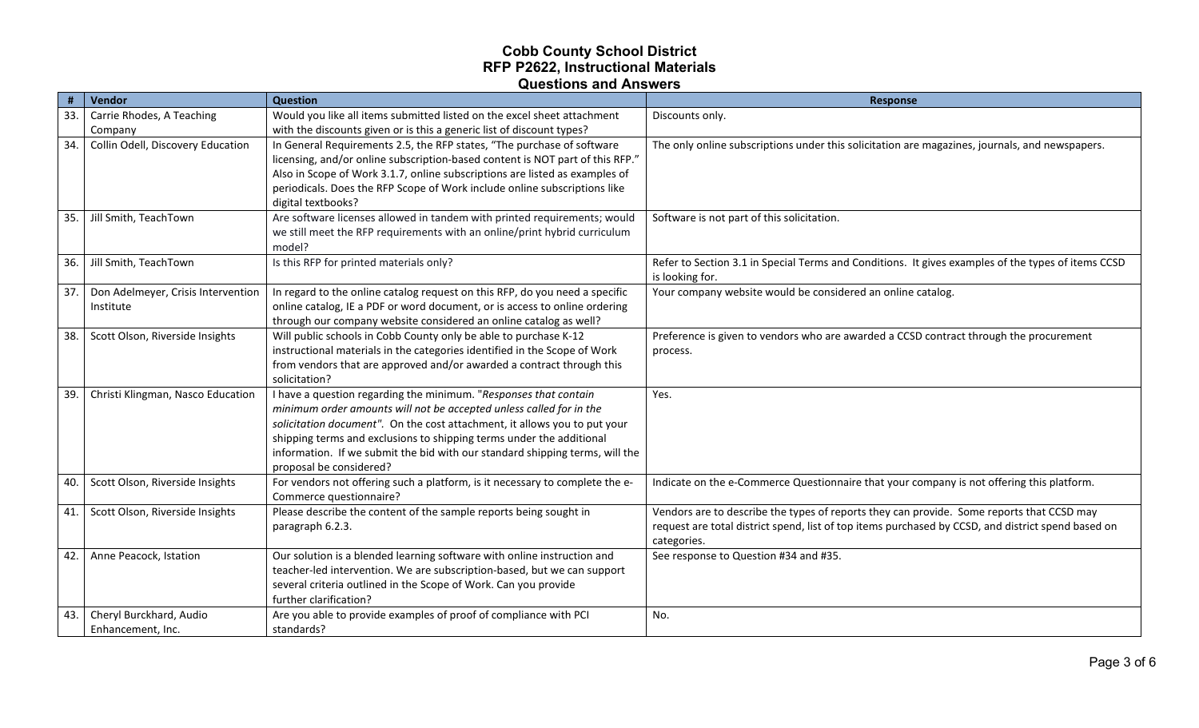|            | Vendor                                                                 | <b>Question</b>                                                                                                                                                                                                                                                                                                                                       | <b>Response</b>                                                                                                                                                   |
|------------|------------------------------------------------------------------------|-------------------------------------------------------------------------------------------------------------------------------------------------------------------------------------------------------------------------------------------------------------------------------------------------------------------------------------------------------|-------------------------------------------------------------------------------------------------------------------------------------------------------------------|
| 33.        | Carrie Rhodes, A Teaching                                              | Would you like all items submitted listed on the excel sheet attachment                                                                                                                                                                                                                                                                               | Discounts only.                                                                                                                                                   |
|            | Company                                                                | with the discounts given or is this a generic list of discount types?                                                                                                                                                                                                                                                                                 |                                                                                                                                                                   |
| 34.        | Collin Odell, Discovery Education                                      | In General Requirements 2.5, the RFP states, "The purchase of software                                                                                                                                                                                                                                                                                | The only online subscriptions under this solicitation are magazines, journals, and newspapers.                                                                    |
|            |                                                                        | licensing, and/or online subscription-based content is NOT part of this RFP."                                                                                                                                                                                                                                                                         |                                                                                                                                                                   |
|            |                                                                        | Also in Scope of Work 3.1.7, online subscriptions are listed as examples of                                                                                                                                                                                                                                                                           |                                                                                                                                                                   |
|            |                                                                        | periodicals. Does the RFP Scope of Work include online subscriptions like                                                                                                                                                                                                                                                                             |                                                                                                                                                                   |
|            |                                                                        | digital textbooks?                                                                                                                                                                                                                                                                                                                                    |                                                                                                                                                                   |
| 35.        | Jill Smith, TeachTown                                                  | Are software licenses allowed in tandem with printed requirements; would<br>we still meet the RFP requirements with an online/print hybrid curriculum                                                                                                                                                                                                 | Software is not part of this solicitation.                                                                                                                        |
|            |                                                                        | model?                                                                                                                                                                                                                                                                                                                                                |                                                                                                                                                                   |
| 36.        | Jill Smith, TeachTown                                                  | Is this RFP for printed materials only?                                                                                                                                                                                                                                                                                                               | Refer to Section 3.1 in Special Terms and Conditions. It gives examples of the types of items CCSD                                                                |
|            |                                                                        |                                                                                                                                                                                                                                                                                                                                                       | is looking for.                                                                                                                                                   |
| 37.        | Don Adelmeyer, Crisis Intervention                                     | In regard to the online catalog request on this RFP, do you need a specific                                                                                                                                                                                                                                                                           | Your company website would be considered an online catalog.                                                                                                       |
|            | Institute                                                              | online catalog, IE a PDF or word document, or is access to online ordering                                                                                                                                                                                                                                                                            |                                                                                                                                                                   |
|            |                                                                        | through our company website considered an online catalog as well?                                                                                                                                                                                                                                                                                     |                                                                                                                                                                   |
| 38.        | Scott Olson, Riverside Insights                                        | Will public schools in Cobb County only be able to purchase K-12                                                                                                                                                                                                                                                                                      | Preference is given to vendors who are awarded a CCSD contract through the procurement                                                                            |
|            |                                                                        | instructional materials in the categories identified in the Scope of Work                                                                                                                                                                                                                                                                             | process.                                                                                                                                                          |
|            |                                                                        | from vendors that are approved and/or awarded a contract through this                                                                                                                                                                                                                                                                                 |                                                                                                                                                                   |
|            |                                                                        | solicitation?                                                                                                                                                                                                                                                                                                                                         |                                                                                                                                                                   |
| 39.        | Christi Klingman, Nasco Education                                      | I have a question regarding the minimum. "Responses that contain                                                                                                                                                                                                                                                                                      | Yes.                                                                                                                                                              |
|            |                                                                        | minimum order amounts will not be accepted unless called for in the                                                                                                                                                                                                                                                                                   |                                                                                                                                                                   |
|            |                                                                        | solicitation document". On the cost attachment, it allows you to put your<br>shipping terms and exclusions to shipping terms under the additional                                                                                                                                                                                                     |                                                                                                                                                                   |
|            |                                                                        | information. If we submit the bid with our standard shipping terms, will the                                                                                                                                                                                                                                                                          |                                                                                                                                                                   |
|            |                                                                        | proposal be considered?                                                                                                                                                                                                                                                                                                                               |                                                                                                                                                                   |
| 40.        | Scott Olson, Riverside Insights                                        | For vendors not offering such a platform, is it necessary to complete the e-                                                                                                                                                                                                                                                                          | Indicate on the e-Commerce Questionnaire that your company is not offering this platform.                                                                         |
|            |                                                                        | Commerce questionnaire?                                                                                                                                                                                                                                                                                                                               |                                                                                                                                                                   |
| 41.        | Scott Olson, Riverside Insights                                        | Please describe the content of the sample reports being sought in                                                                                                                                                                                                                                                                                     | Vendors are to describe the types of reports they can provide. Some reports that CCSD may                                                                         |
|            |                                                                        |                                                                                                                                                                                                                                                                                                                                                       |                                                                                                                                                                   |
|            |                                                                        |                                                                                                                                                                                                                                                                                                                                                       |                                                                                                                                                                   |
|            |                                                                        |                                                                                                                                                                                                                                                                                                                                                       |                                                                                                                                                                   |
|            |                                                                        |                                                                                                                                                                                                                                                                                                                                                       |                                                                                                                                                                   |
|            |                                                                        |                                                                                                                                                                                                                                                                                                                                                       |                                                                                                                                                                   |
|            |                                                                        |                                                                                                                                                                                                                                                                                                                                                       |                                                                                                                                                                   |
|            |                                                                        |                                                                                                                                                                                                                                                                                                                                                       |                                                                                                                                                                   |
| 42.<br>43. | Anne Peacock, Istation<br>Cheryl Burckhard, Audio<br>Enhancement, Inc. | paragraph 6.2.3.<br>Our solution is a blended learning software with online instruction and<br>teacher-led intervention. We are subscription-based, but we can support<br>several criteria outlined in the Scope of Work. Can you provide<br>further clarification?<br>Are you able to provide examples of proof of compliance with PCI<br>standards? | request are total district spend, list of top items purchased by CCSD, and district spend based on<br>categories.<br>See response to Question #34 and #35.<br>No. |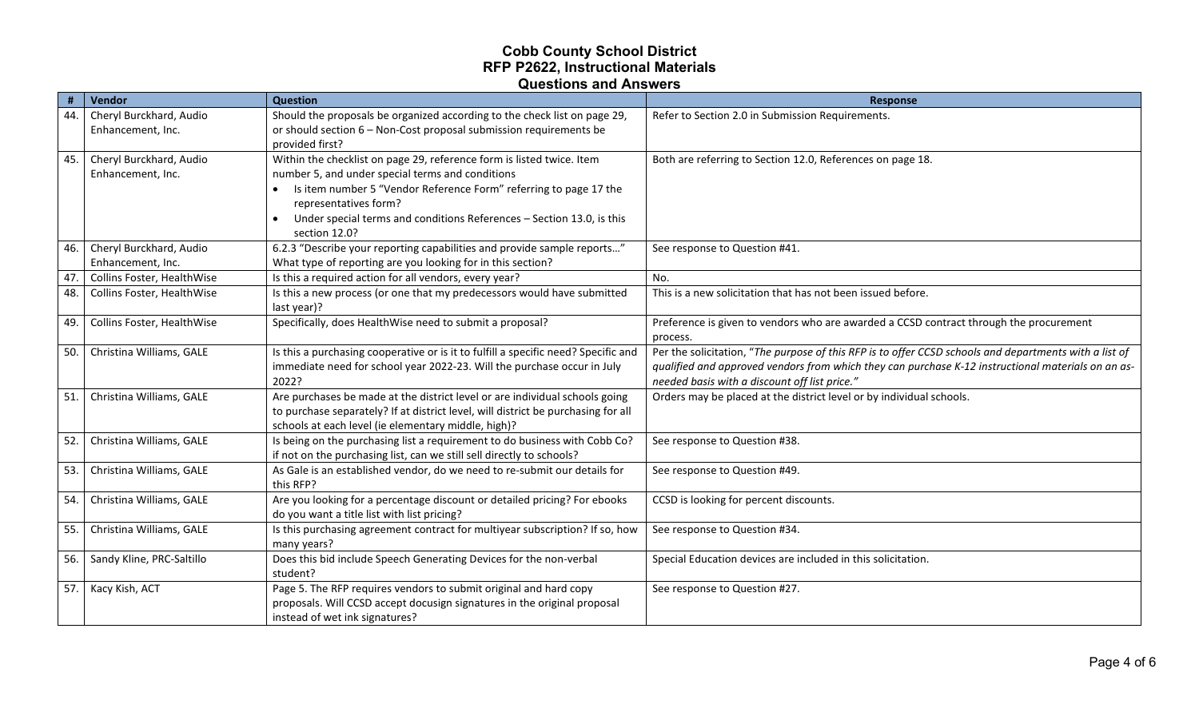| #   | Vendor                                       | <b>Question</b>                                                                                                           | Response                                                                                               |
|-----|----------------------------------------------|---------------------------------------------------------------------------------------------------------------------------|--------------------------------------------------------------------------------------------------------|
| 44. | Cheryl Burckhard, Audio                      | Should the proposals be organized according to the check list on page 29,                                                 | Refer to Section 2.0 in Submission Requirements.                                                       |
|     | Enhancement, Inc.                            | or should section 6 - Non-Cost proposal submission requirements be                                                        |                                                                                                        |
|     |                                              | provided first?                                                                                                           |                                                                                                        |
| 45. | Cheryl Burckhard, Audio<br>Enhancement, Inc. | Within the checklist on page 29, reference form is listed twice. Item<br>number 5, and under special terms and conditions | Both are referring to Section 12.0, References on page 18.                                             |
|     |                                              | Is item number 5 "Vendor Reference Form" referring to page 17 the                                                         |                                                                                                        |
|     |                                              | representatives form?                                                                                                     |                                                                                                        |
|     |                                              | Under special terms and conditions References - Section 13.0, is this                                                     |                                                                                                        |
|     |                                              | section 12.0?                                                                                                             |                                                                                                        |
| 46. | Cheryl Burckhard, Audio                      | 6.2.3 "Describe your reporting capabilities and provide sample reports"                                                   | See response to Question #41.                                                                          |
|     | Enhancement, Inc.                            | What type of reporting are you looking for in this section?                                                               |                                                                                                        |
| 47. | Collins Foster, HealthWise                   | Is this a required action for all vendors, every year?                                                                    | No.                                                                                                    |
| 48. | Collins Foster, HealthWise                   | Is this a new process (or one that my predecessors would have submitted                                                   | This is a new solicitation that has not been issued before.                                            |
|     |                                              | last year)?                                                                                                               |                                                                                                        |
| 49. | Collins Foster, HealthWise                   | Specifically, does HealthWise need to submit a proposal?                                                                  | Preference is given to vendors who are awarded a CCSD contract through the procurement<br>process.     |
| 50. | Christina Williams, GALE                     | Is this a purchasing cooperative or is it to fulfill a specific need? Specific and                                        | Per the solicitation, "The purpose of this RFP is to offer CCSD schools and departments with a list of |
|     |                                              | immediate need for school year 2022-23. Will the purchase occur in July                                                   | qualified and approved vendors from which they can purchase K-12 instructional materials on an as-     |
|     |                                              | 2022?                                                                                                                     | needed basis with a discount off list price."                                                          |
| 51. | Christina Williams, GALE                     | Are purchases be made at the district level or are individual schools going                                               | Orders may be placed at the district level or by individual schools.                                   |
|     |                                              | to purchase separately? If at district level, will district be purchasing for all                                         |                                                                                                        |
|     |                                              | schools at each level (ie elementary middle, high)?                                                                       |                                                                                                        |
| 52. | Christina Williams, GALE                     | Is being on the purchasing list a requirement to do business with Cobb Co?                                                | See response to Question #38.                                                                          |
|     |                                              | if not on the purchasing list, can we still sell directly to schools?                                                     |                                                                                                        |
| 53. | Christina Williams, GALE                     | As Gale is an established vendor, do we need to re-submit our details for<br>this RFP?                                    | See response to Question #49.                                                                          |
| 54. | Christina Williams, GALE                     | Are you looking for a percentage discount or detailed pricing? For ebooks                                                 | CCSD is looking for percent discounts.                                                                 |
|     |                                              | do you want a title list with list pricing?                                                                               |                                                                                                        |
| 55. | Christina Williams, GALE                     | Is this purchasing agreement contract for multiyear subscription? If so, how                                              | See response to Question #34.                                                                          |
|     |                                              | many years?                                                                                                               |                                                                                                        |
| 56. | Sandy Kline, PRC-Saltillo                    | Does this bid include Speech Generating Devices for the non-verbal                                                        | Special Education devices are included in this solicitation.                                           |
|     |                                              | student?                                                                                                                  |                                                                                                        |
| 57. | Kacy Kish, ACT                               | Page 5. The RFP requires vendors to submit original and hard copy                                                         | See response to Question #27.                                                                          |
|     |                                              | proposals. Will CCSD accept docusign signatures in the original proposal                                                  |                                                                                                        |
|     |                                              | instead of wet ink signatures?                                                                                            |                                                                                                        |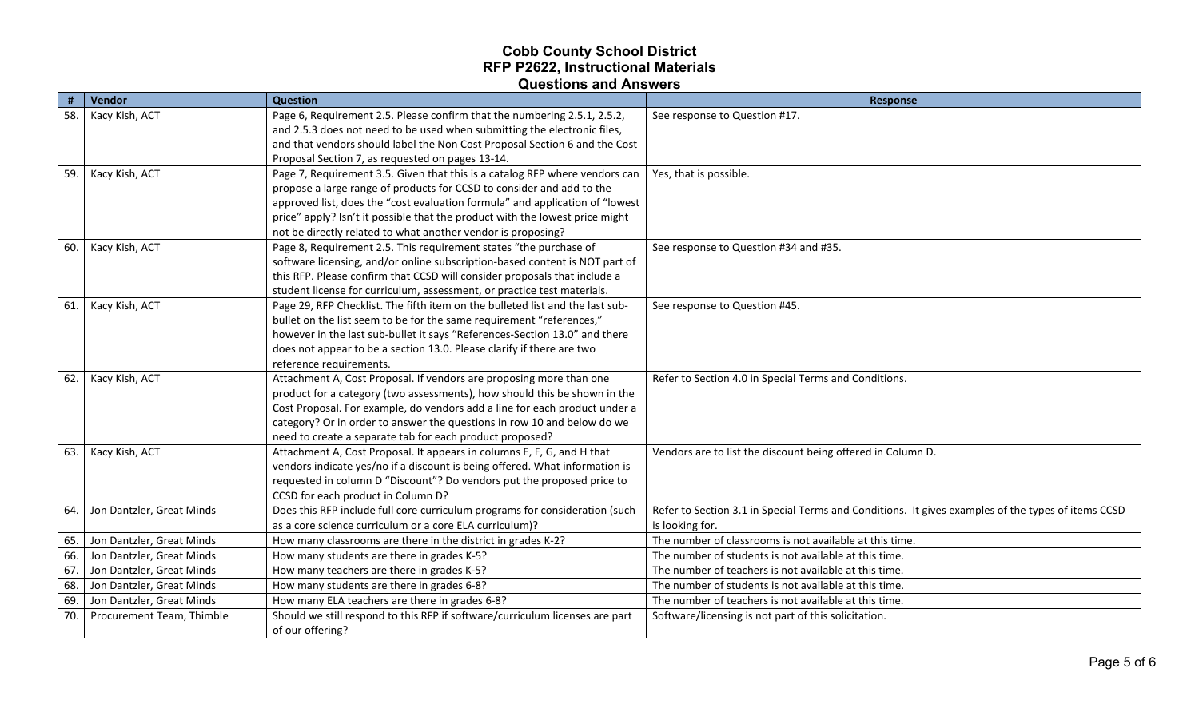|     | Vendor                    | <b>Question</b>                                                                                  | <b>Response</b>                                                                                    |
|-----|---------------------------|--------------------------------------------------------------------------------------------------|----------------------------------------------------------------------------------------------------|
| 58. | Kacy Kish, ACT            | Page 6, Requirement 2.5. Please confirm that the numbering 2.5.1, 2.5.2,                         | See response to Question #17.                                                                      |
|     |                           | and 2.5.3 does not need to be used when submitting the electronic files,                         |                                                                                                    |
|     |                           | and that vendors should label the Non Cost Proposal Section 6 and the Cost                       |                                                                                                    |
|     |                           | Proposal Section 7, as requested on pages 13-14.                                                 |                                                                                                    |
|     | 59. Kacy Kish, ACT        | Page 7, Requirement 3.5. Given that this is a catalog RFP where vendors can                      | Yes, that is possible.                                                                             |
|     |                           | propose a large range of products for CCSD to consider and add to the                            |                                                                                                    |
|     |                           | approved list, does the "cost evaluation formula" and application of "lowest                     |                                                                                                    |
|     |                           | price" apply? Isn't it possible that the product with the lowest price might                     |                                                                                                    |
|     |                           | not be directly related to what another vendor is proposing?                                     |                                                                                                    |
|     | 60. Kacy Kish, ACT        | Page 8, Requirement 2.5. This requirement states "the purchase of                                | See response to Question #34 and #35.                                                              |
|     |                           | software licensing, and/or online subscription-based content is NOT part of                      |                                                                                                    |
|     |                           | this RFP. Please confirm that CCSD will consider proposals that include a                        |                                                                                                    |
|     |                           | student license for curriculum, assessment, or practice test materials.                          |                                                                                                    |
|     | 61. Kacy Kish, ACT        | Page 29, RFP Checklist. The fifth item on the bulleted list and the last sub-                    | See response to Question #45.                                                                      |
|     |                           | bullet on the list seem to be for the same requirement "references,"                             |                                                                                                    |
|     |                           | however in the last sub-bullet it says "References-Section 13.0" and there                       |                                                                                                    |
|     |                           | does not appear to be a section 13.0. Please clarify if there are two                            |                                                                                                    |
|     |                           | reference requirements.                                                                          |                                                                                                    |
| 62. | Kacy Kish, ACT            | Attachment A, Cost Proposal. If vendors are proposing more than one                              | Refer to Section 4.0 in Special Terms and Conditions.                                              |
|     |                           | product for a category (two assessments), how should this be shown in the                        |                                                                                                    |
|     |                           | Cost Proposal. For example, do vendors add a line for each product under a                       |                                                                                                    |
|     |                           | category? Or in order to answer the questions in row 10 and below do we                          |                                                                                                    |
|     |                           | need to create a separate tab for each product proposed?                                         |                                                                                                    |
| 63. | Kacy Kish, ACT            | Attachment A, Cost Proposal. It appears in columns E, F, G, and H that                           | Vendors are to list the discount being offered in Column D.                                        |
|     |                           | vendors indicate yes/no if a discount is being offered. What information is                      |                                                                                                    |
|     |                           | requested in column D "Discount"? Do vendors put the proposed price to                           |                                                                                                    |
|     |                           | CCSD for each product in Column D?                                                               |                                                                                                    |
| 64. | Jon Dantzler, Great Minds | Does this RFP include full core curriculum programs for consideration (such                      | Refer to Section 3.1 in Special Terms and Conditions. It gives examples of the types of items CCSD |
|     |                           | as a core science curriculum or a core ELA curriculum)?                                          | is looking for.                                                                                    |
| 65. | Jon Dantzler, Great Minds | How many classrooms are there in the district in grades K-2?                                     | The number of classrooms is not available at this time.                                            |
| 66. | Jon Dantzler, Great Minds | How many students are there in grades K-5?                                                       | The number of students is not available at this time.                                              |
| 67. | Jon Dantzler, Great Minds | How many teachers are there in grades K-5?                                                       | The number of teachers is not available at this time.                                              |
| 68. | Jon Dantzler, Great Minds | How many students are there in grades 6-8?                                                       | The number of students is not available at this time.                                              |
| 69. | Jon Dantzler, Great Minds | How many ELA teachers are there in grades 6-8?                                                   | The number of teachers is not available at this time.                                              |
| 70. | Procurement Team, Thimble | Should we still respond to this RFP if software/curriculum licenses are part<br>of our offering? | Software/licensing is not part of this solicitation.                                               |